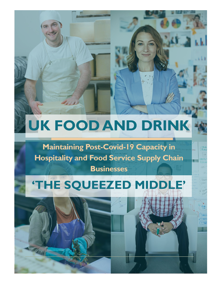# **UK FOOD AND DRINK**

**Maintaining Post-Covid-19 Capacity in Hospitality and Food Service Supply Chain Businesses**

# **'THE SQUEEZED MIDDLE'**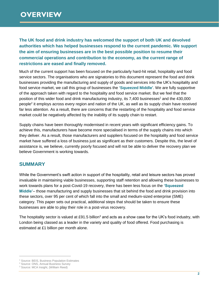**The UK food and drink industry has welcomed the support of both UK and devolved authorities which has helped businesses respond to the current pandemic. We support the aim of ensuring businesses are in the best possible position to resume their commercial operations and contribution to the economy, as the current range of restrictions are eased and finally removed.**

Much of the current support has been focused on the particularly hard-hit retail, hospitality and food service sectors. The organisations who are signatories to this document represent the food and drink businesses providing the manufacturing and supply of goods and services into the UK's hospitality and food service market, we call this group of businesses the **'Squeezed Middle'**. We are fully supportive of the approach taken with regard to the hospitality and food service market. But we feel that the position of this wider food and drink manufacturing industry, its 7,400 businesses<sup>1</sup> and the 430,000 people<sup>2</sup> it employs across every region and nation of the UK, as well as its supply chain have received far less attention. As a result, there are concerns that the restarting of the hospitality and food service market could be negatively affected by the inability of its supply chain to restart.

Supply chains have been thoroughly modernised in recent years with significant efficiency gains. To achieve this, manufacturers have become more specialised in terms of the supply chains into which they deliver. As a result, those manufacturers and suppliers focused on the hospitality and food service market have suffered a loss of business just as significant as their customers. Despite this, the level of assistance is, we believe, currently poorly focused and will not be able to deliver the recovery plan we believe Government is working towards.

### **SUMMARY**

While the Government's swift action in support of the hospitality, retail and leisure sectors has proved invaluable in maintaining viable businesses, supporting staff retention and allowing these businesses to work towards plans for a post-Covid-19 recovery, there has been less focus on the **'Squeezed Middle'**– those manufacturing and supply businesses that sit behind the food and drink provision into these sectors, over 95 per cent of which fall into the small and medium-sized enterprise (SME) category. This paper sets out practical, additional steps that should be taken to ensure these businesses are able to play their role in a post-virus recovery.

The hospitality sector is valued at £91.5 billion<sup>3</sup> and acts as a show case for the UK's food industry, with London being classed as a leader in the variety and quality of food offered. Food purchasing is estimated at £1 billion per month alone.

 $\overline{a}$ 

<sup>1</sup> Source: BEIS, Business Population Estimates

<sup>&</sup>lt;sup>2</sup> Source: ONS, Annual Business Survey

<sup>3</sup> Source: MCA Insight, (William Reed)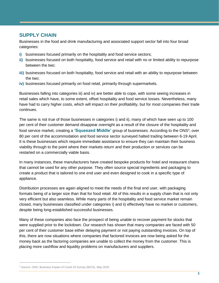## **SUPPLY CHAIN**

Businesses in the food and drink manufacturing and associated support sector fall into four broad categories:

- **i)** businesses focused primarily on the hospitality and food service sectors;
- **ii)** businesses focused on both hospitality, food service and retail with no or limited ability to repurpose between the two;
- **iii)** businesses focused on both hospitality, food service and retail with an ability to repurpose between the two;
- **iv)** businesses focused primarily on food retail, primarily through supermarkets.

Businesses falling into categories iii) and iv) are better able to cope, with some seeing increases in retail sales which have, to some extent, offset hospitality and food service losses. Nevertheless, many have had to carry higher costs, which will impact on their profitability, but for most companies their trade continues.

The same is not true of those businesses in categories i) and ii), many of which have seen up to 100 per cent of their customer demand disappear overnight as a result of the closure of the hospitality and food service market, creating a 'Squeezed Middle' group of businesses. According to the ONS<sup>4</sup>, over 80 per cent of the accommodation and food service sector surveyed halted trading between 6-19 April. It is these businesses which require immediate assistance to ensure they can maintain their business viability through to the point where their markets return and their production or services can be restarted on a commercially viable basis.

In many instances, these manufacturers have created bespoke products for hotel and restaurant chains that cannot be used for any other purpose. They often source special ingredients and packaging to create a product that is tailored to one end user and even designed to cook in a specific type of appliance.

Distribution processes are again aligned to meet the needs of the final end user, with packaging formats being of a larger size than that for food retail. All of this results in a supply chain that is not only very efficient but also seamless. While many parts of the hospitality and food service market remain closed, many businesses classified under categories i) and ii) effectively have no market or customers, despite being long-established successful businesses.

Many of these companies also face the prospect of being unable to recover payment for stocks that were supplied prior to the lockdown. Our research has shown that many companies are faced with 50 per cent of their customer base either delaying payment or not paying outstanding invoices. On top of this, there are now situations where companies that factored invoices are now being asked for the money back as the factoring companies are unable to collect the money from the customer. This is placing more cashflow and liquidity problems on manufacturers and suppliers.

 $\overline{a}$ 

<sup>4</sup> Source: ONS, Business Impact of Covid-19 Survey (BICS), May 2020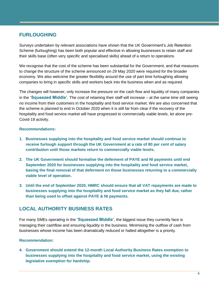# **FURLOUGHING**

Surveys undertaken by relevant associations have shown that the UK Government's Job Retention Scheme (furloughing) has been both popular and effective in allowing businesses to retain staff and their skills base (often very specific and specialised skills) ahead of a return to operations.

We recognise that the cost of the scheme has been substantial for the Government, and that measures to change the structure of the scheme announced on 29 May 2020 were required for the broader economy. We also welcome the greater flexibility around the use of part time furloughing allowing companies to bring in specific skills and workers back into the business when and as required.

The changes will however, only increase the pressure on the cash flow and liquidity of many companies in the **'Squeezed Middle'**. The cost of retaining their staff will increase – at the same time still seeing no income from their customers in the hospitality and food service market. We are also concerned that the scheme is planned to end in October 2020 when it is still far from clear if the recovery of the hospitality and food service market will have progressed to commercially viable levels, let alone pre-Covid-19 activity.

#### **Recommendations:**

- **1. Businesses supplying into the hospitality and food service market should continue to receive furlough support through the UK Government at a rate of 80 per cent of salary contribution until those markets return to commercially viable levels.**
- **2. The UK Government should formalise the deferment of PAYE and NI payments until end September 2020 for businesses supplying into the hospitality and food service market, basing the final removal of that deferment on those businesses returning to a commercially viable level of operation.**
- **3. Until the end of September 2020, HMRC should ensure that all VAT repayments are made to businesses supplying into the hospitality and food service market as they fall due, rather than being used to offset against PAYE & NI payments.**

# **LOCAL AUTHORITY BUSINESS RATES**

For many SMEs operating in the **'Squeezed Middle'**, the biggest issue they currently face is managing their cashflow and ensuring liquidity in the business. Minimising the outflow of cash from businesses whose income has been dramatically reduced or halted altogether is a priority.

#### **Recommendation:**

**4. Government should extend the 12-month Local Authority Business Rates exemption to businesses supplying into the hospitality and food service market, using the existing legislative exemption for hardship.**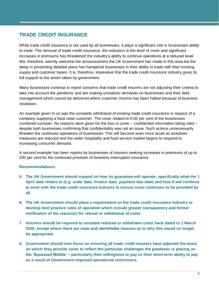# **TRADE CREDIT INSURANCE**

While trade credit insurance is not used by all businesses, it plays a significant role in businesses ability to trade. The removal of trade credit insurance, the reduction in the level of cover and significant increases in premiums has threatened the industry's ability to continue operations at a reduced level. We, therefore, warmly welcome the announcement the UK Government has made in this area but the delay in presenting detailed plans has hampered businesses in their ability to trade with their existing supply and customer bases. It is, therefore, imperative that the trade credit insurance industry gives its full support to the action taken by government.

Many businesses continue to report concerns that trade credit insurers are not adjusting their criteria to take into account the pandemic and are making unrealistic demands on businesses and their debt management which cannot be delivered where customer income has been halted because of business shutdown.

An example given to us was the complete withdrawal of existing trade credit insurance in respect of a company supplying a food retail customer. The cover related to 0.05 per cent of the businesses' combined turnover. No reasons were given for the loss in cover – confidential information being cited – despite both businesses confirming that confidentiality was not an issue. Such actions unnecessarily threaten the continued operations of businesses. This will become even more acute as lockdown measures are reduced and the wider hospitality and food service market begins to respond to increasing consumer demand.

A second example has been reports by businesses of insurers seeking increases in premiums of up to 200 per cent for the continued provision of business interruption insurance.

#### **Recommendations:**

- **5. The UK Government should expand on how its guarantee will operate, specifically what the 1 April date relates to (e.g. order date, invoice date, payment due date) and how it will continue to work with the trade credit insurance industry to ensure cover continues to be provided by all.**
- **6. The UK Government should place a requirement on the trade credit insurance industry to develop best practice rules of operation which include greater transparency and formal notification of the reason(s) for refusal or withdrawal of cover.**
- **7. Insurers should be required to reinstate reduced or withdrawn cover back dated to 1 March 2020, except where there are clear and identifiable reasons as to why this would no longer be appropriate.**
- **8. Government should now focus on ensuring all trade credit insurers have adjusted the basis on which they provide cover to reflect the particular challenges the pandemic is placing on the 'Squeezed Middle' – particularly their willingness to pay** *vs* **their short-term ability to pay as a result of Government-imposed operational restrictions.**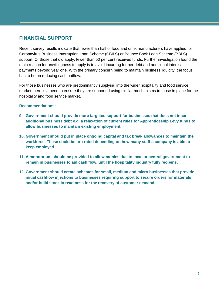# **FINANCIAL SUPPORT**

Recent survey results indicate that fewer than half of food and drink manufacturers have applied for Coronavirus Business Interruption Loan Scheme (CBILS) or Bounce Back Loan Scheme (BBLS) support. Of those that did apply, fewer than 50 per cent received funds. Further investigation found the main reason for unwillingness to apply is to avoid incurring further debt and additional interest payments beyond year one. With the primary concern being to maintain business liquidity, the focus has to be on reducing cash outflow.

For those businesses who are predominantly supplying into the wider hospitality and food service market there is a need to ensure they are supported using similar mechanisms to those in place for the hospitality and food service market.

#### **Recommendations:**

- **9. Government should provide more targeted support for businesses that does not incur additional business debt e.g. a relaxation of current rules for Apprenticeship Levy funds to allow businesses to maintain existing employment.**
- **10. Government should put in place ongoing capital and tax break allowances to maintain the workforce. These could be pro-rated depending on how many staff a company is able to keep employed.**
- **11. A moratorium should be provided to allow monies due to local or central government to remain in businesses to aid cash flow, until the hospitality industry fully reopens.**
- **12. Government should create schemes for small, medium and micro businesses that provide initial cashflow injections to businesses requiring support to secure orders for materials and/or build stock in readiness for the recovery of customer demand.**